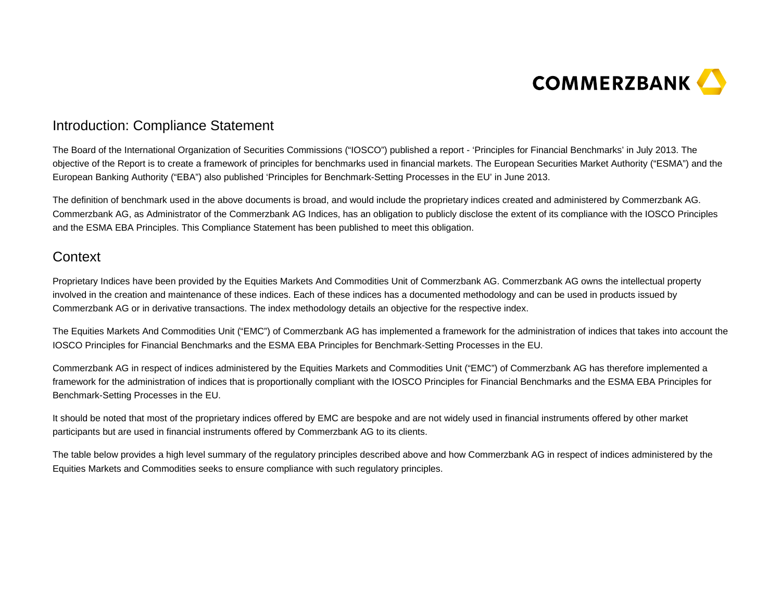

## Introduction: Compliance Statement

The Board of the International Organization of Securities Commissions ("IOSCO") published a report - 'Principles for Financial Benchmarks' in July 2013. The objective of the Report is to create a framework of principles for benchmarks used in financial markets. The European Securities Market Authority ("ESMA") and the European Banking Authority ("EBA") also published 'Principles for Benchmark-Setting Processes in the EU' in June 2013.

The definition of benchmark used in the above documents is broad, and would include the proprietary indices created and administered by Commerzbank AG. Commerzbank AG, as Administrator of the Commerzbank AG Indices, has an obligation to publicly disclose the extent of its compliance with the IOSCO Principles and the ESMA EBA Principles. This Compliance Statement has been published to meet this obligation.

## **Context**

Proprietary Indices have been provided by the Equities Markets And Commodities Unit of Commerzbank AG. Commerzbank AG owns the intellectual property involved in the creation and maintenance of these indices. Each of these indices has a documented methodology and can be used in products issued by Commerzbank AG or in derivative transactions. The index methodology details an objective for the respective index.

The Equities Markets And Commodities Unit ("EMC") of Commerzbank AG has implemented a framework for the administration of indices that takes into account the IOSCO Principles for Financial Benchmarks and the ESMA EBA Principles for Benchmark-Setting Processes in the EU.

Commerzbank AG in respect of indices administered by the Equities Markets and Commodities Unit ("EMC") of Commerzbank AG has therefore implemented a framework for the administration of indices that is proportionally compliant with the IOSCO Principles for Financial Benchmarks and the ESMA EBA Principles for Benchmark-Setting Processes in the EU.

It should be noted that most of the proprietary indices offered by EMC are bespoke and are not widely used in financial instruments offered by other market participants but are used in financial instruments offered by Commerzbank AG to its clients.

The table below provides a high level summary of the regulatory principles described above and how Commerzbank AG in respect of indices administered by the Equities Markets and Commodities seeks to ensure compliance with such regulatory principles.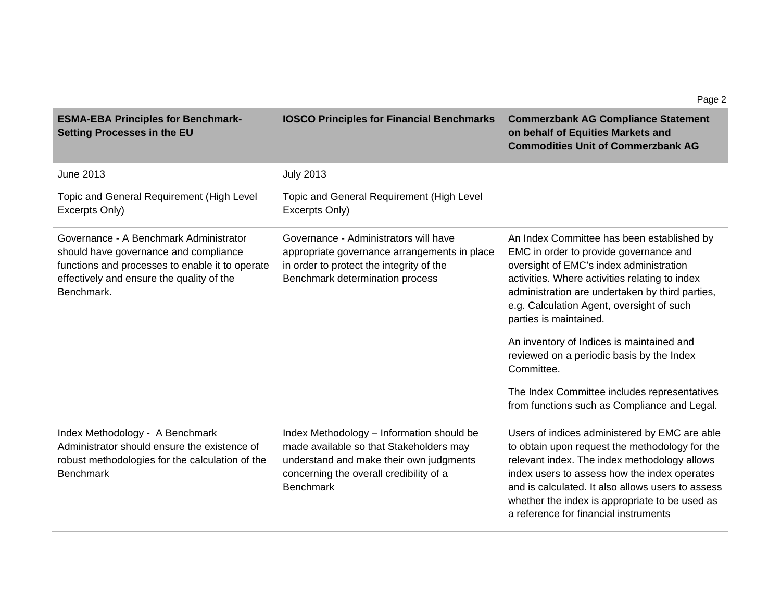| <b>ESMA-EBA Principles for Benchmark-</b><br><b>Setting Processes in the EU</b>                                                                                                               | <b>IOSCO Principles for Financial Benchmarks</b>                                                                                                                                               | <b>Commerzbank AG Compliance Statement</b><br>on behalf of Equities Markets and<br><b>Commodities Unit of Commerzbank AG</b>                                                                                                                                                                                                                    |
|-----------------------------------------------------------------------------------------------------------------------------------------------------------------------------------------------|------------------------------------------------------------------------------------------------------------------------------------------------------------------------------------------------|-------------------------------------------------------------------------------------------------------------------------------------------------------------------------------------------------------------------------------------------------------------------------------------------------------------------------------------------------|
| <b>June 2013</b>                                                                                                                                                                              | <b>July 2013</b>                                                                                                                                                                               |                                                                                                                                                                                                                                                                                                                                                 |
| Topic and General Requirement (High Level<br>Excerpts Only)                                                                                                                                   | Topic and General Requirement (High Level<br>Excerpts Only)                                                                                                                                    |                                                                                                                                                                                                                                                                                                                                                 |
| Governance - A Benchmark Administrator<br>should have governance and compliance<br>functions and processes to enable it to operate<br>effectively and ensure the quality of the<br>Benchmark. | Governance - Administrators will have<br>appropriate governance arrangements in place<br>in order to protect the integrity of the<br>Benchmark determination process                           | An Index Committee has been established by<br>EMC in order to provide governance and<br>oversight of EMC's index administration<br>activities. Where activities relating to index<br>administration are undertaken by third parties,<br>e.g. Calculation Agent, oversight of such<br>parties is maintained.                                     |
|                                                                                                                                                                                               |                                                                                                                                                                                                | An inventory of Indices is maintained and<br>reviewed on a periodic basis by the Index<br>Committee.                                                                                                                                                                                                                                            |
|                                                                                                                                                                                               |                                                                                                                                                                                                | The Index Committee includes representatives<br>from functions such as Compliance and Legal.                                                                                                                                                                                                                                                    |
| Index Methodology - A Benchmark<br>Administrator should ensure the existence of<br>robust methodologies for the calculation of the<br><b>Benchmark</b>                                        | Index Methodology - Information should be<br>made available so that Stakeholders may<br>understand and make their own judgments<br>concerning the overall credibility of a<br><b>Benchmark</b> | Users of indices administered by EMC are able<br>to obtain upon request the methodology for the<br>relevant index. The index methodology allows<br>index users to assess how the index operates<br>and is calculated. It also allows users to assess<br>whether the index is appropriate to be used as<br>a reference for financial instruments |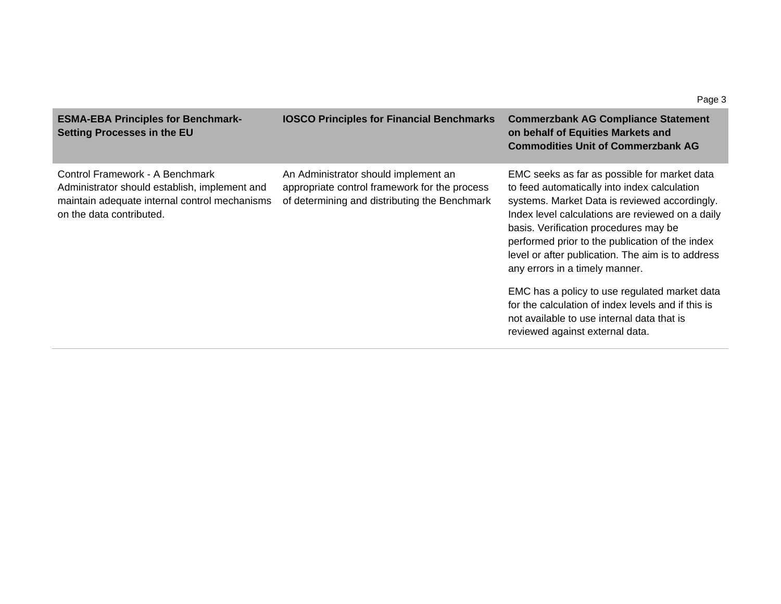| <b>ESMA-EBA Principles for Benchmark-</b><br><b>Setting Processes in the EU</b>                                                                               | <b>IOSCO Principles for Financial Benchmarks</b>                                                                                       | <b>Commerzbank AG Compliance Statement</b><br>on behalf of Equities Markets and<br><b>Commodities Unit of Commerzbank AG</b>                                                                                                                                                                                                                                                         |
|---------------------------------------------------------------------------------------------------------------------------------------------------------------|----------------------------------------------------------------------------------------------------------------------------------------|--------------------------------------------------------------------------------------------------------------------------------------------------------------------------------------------------------------------------------------------------------------------------------------------------------------------------------------------------------------------------------------|
| Control Framework - A Benchmark<br>Administrator should establish, implement and<br>maintain adequate internal control mechanisms<br>on the data contributed. | An Administrator should implement an<br>appropriate control framework for the process<br>of determining and distributing the Benchmark | EMC seeks as far as possible for market data<br>to feed automatically into index calculation<br>systems. Market Data is reviewed accordingly.<br>Index level calculations are reviewed on a daily<br>basis. Verification procedures may be<br>performed prior to the publication of the index<br>level or after publication. The aim is to address<br>any errors in a timely manner. |
|                                                                                                                                                               |                                                                                                                                        | EMC has a policy to use regulated market data<br>for the calculation of index levels and if this is<br>not available to use internal data that is<br>reviewed against external data.                                                                                                                                                                                                 |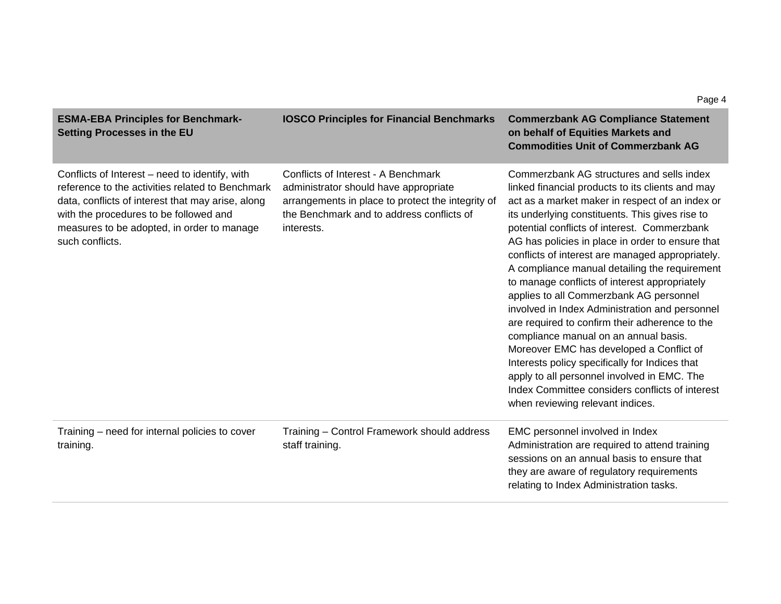| Setting Processes in the EU                                                                                                                                                                                                                                        |                                                                                                                                                                                              | on behalf of Equities Markets and<br><b>Commodities Unit of Commerzbank AG</b>                                                                                                                                                                                                                                                                                                                                                                                                                                                                                                                                                                                                                                                                                                                                                                                                            |
|--------------------------------------------------------------------------------------------------------------------------------------------------------------------------------------------------------------------------------------------------------------------|----------------------------------------------------------------------------------------------------------------------------------------------------------------------------------------------|-------------------------------------------------------------------------------------------------------------------------------------------------------------------------------------------------------------------------------------------------------------------------------------------------------------------------------------------------------------------------------------------------------------------------------------------------------------------------------------------------------------------------------------------------------------------------------------------------------------------------------------------------------------------------------------------------------------------------------------------------------------------------------------------------------------------------------------------------------------------------------------------|
| Conflicts of Interest – need to identify, with<br>reference to the activities related to Benchmark<br>data, conflicts of interest that may arise, along<br>with the procedures to be followed and<br>measures to be adopted, in order to manage<br>such conflicts. | Conflicts of Interest - A Benchmark<br>administrator should have appropriate<br>arrangements in place to protect the integrity of<br>the Benchmark and to address conflicts of<br>interests. | Commerzbank AG structures and sells index<br>linked financial products to its clients and may<br>act as a market maker in respect of an index or<br>its underlying constituents. This gives rise to<br>potential conflicts of interest. Commerzbank<br>AG has policies in place in order to ensure that<br>conflicts of interest are managed appropriately.<br>A compliance manual detailing the requirement<br>to manage conflicts of interest appropriately<br>applies to all Commerzbank AG personnel<br>involved in Index Administration and personnel<br>are required to confirm their adherence to the<br>compliance manual on an annual basis.<br>Moreover EMC has developed a Conflict of<br>Interests policy specifically for Indices that<br>apply to all personnel involved in EMC. The<br>Index Committee considers conflicts of interest<br>when reviewing relevant indices. |
| Training – need for internal policies to cover<br>training.                                                                                                                                                                                                        | Training - Control Framework should address<br>staff training.                                                                                                                               | EMC personnel involved in Index<br>Administration are required to attend training<br>sessions on an annual basis to ensure that<br>they are aware of regulatory requirements<br>relating to Index Administration tasks.                                                                                                                                                                                                                                                                                                                                                                                                                                                                                                                                                                                                                                                                   |

**IOSCO Principles for Financial Benchmarks Commerzbank AG Compliance Statement** 

**ESMA-EBA Principles for Benchmark-**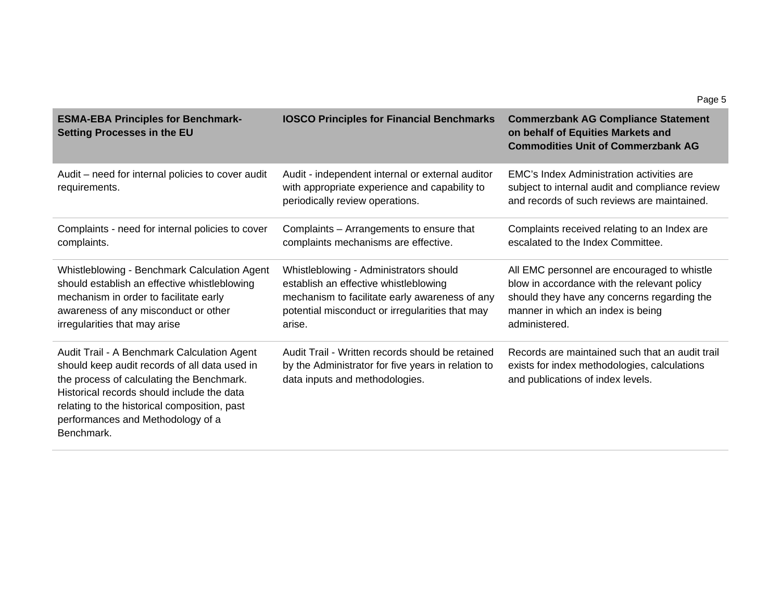| <b>ESMA-EBA Principles for Benchmark-</b><br><b>Setting Processes in the EU</b>                                                                                                                                                                                                            | <b>IOSCO Principles for Financial Benchmarks</b>                                                                                                                                               | <b>Commerzbank AG Compliance Statement</b><br>on behalf of Equities Markets and<br><b>Commodities Unit of Commerzbank AG</b>                                                                    |
|--------------------------------------------------------------------------------------------------------------------------------------------------------------------------------------------------------------------------------------------------------------------------------------------|------------------------------------------------------------------------------------------------------------------------------------------------------------------------------------------------|-------------------------------------------------------------------------------------------------------------------------------------------------------------------------------------------------|
| Audit – need for internal policies to cover audit<br>requirements.                                                                                                                                                                                                                         | Audit - independent internal or external auditor<br>with appropriate experience and capability to<br>periodically review operations.                                                           | EMC's Index Administration activities are<br>subject to internal audit and compliance review<br>and records of such reviews are maintained.                                                     |
| Complaints - need for internal policies to cover<br>complaints.                                                                                                                                                                                                                            | Complaints - Arrangements to ensure that<br>complaints mechanisms are effective.                                                                                                               | Complaints received relating to an Index are<br>escalated to the Index Committee.                                                                                                               |
| Whistleblowing - Benchmark Calculation Agent<br>should establish an effective whistleblowing<br>mechanism in order to facilitate early<br>awareness of any misconduct or other<br>irregularities that may arise                                                                            | Whistleblowing - Administrators should<br>establish an effective whistleblowing<br>mechanism to facilitate early awareness of any<br>potential misconduct or irregularities that may<br>arise. | All EMC personnel are encouraged to whistle<br>blow in accordance with the relevant policy<br>should they have any concerns regarding the<br>manner in which an index is being<br>administered. |
| Audit Trail - A Benchmark Calculation Agent<br>should keep audit records of all data used in<br>the process of calculating the Benchmark.<br>Historical records should include the data<br>relating to the historical composition, past<br>performances and Methodology of a<br>Benchmark. | Audit Trail - Written records should be retained<br>by the Administrator for five years in relation to<br>data inputs and methodologies.                                                       | Records are maintained such that an audit trail<br>exists for index methodologies, calculations<br>and publications of index levels.                                                            |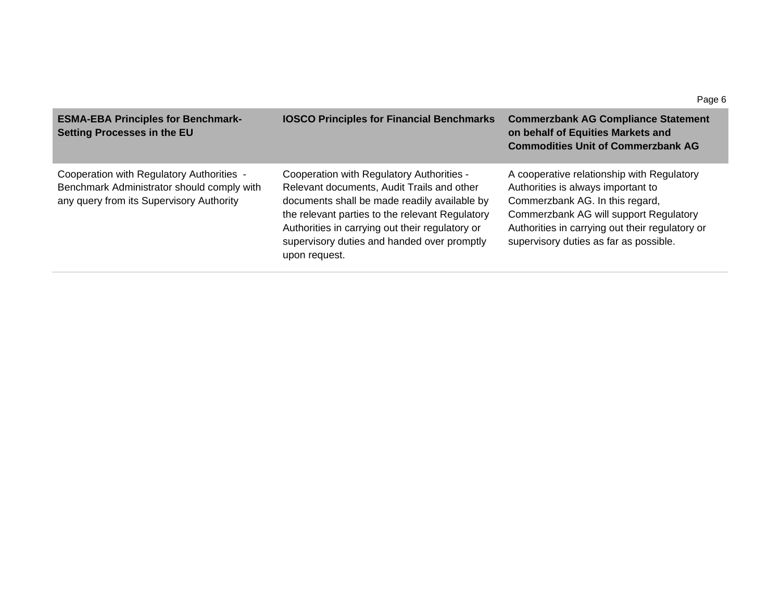| <b>ESMA-EBA Principles for Benchmark-</b><br><b>Setting Processes in the EU</b>                                                     | <b>IOSCO Principles for Financial Benchmarks</b>                                                                                                                                                                                                                                                              | <b>Commerzbank AG Compliance Statement</b><br>on behalf of Equities Markets and<br><b>Commodities Unit of Commerzbank AG</b>                                                                                                                               |
|-------------------------------------------------------------------------------------------------------------------------------------|---------------------------------------------------------------------------------------------------------------------------------------------------------------------------------------------------------------------------------------------------------------------------------------------------------------|------------------------------------------------------------------------------------------------------------------------------------------------------------------------------------------------------------------------------------------------------------|
| Cooperation with Regulatory Authorities -<br>Benchmark Administrator should comply with<br>any query from its Supervisory Authority | Cooperation with Regulatory Authorities -<br>Relevant documents, Audit Trails and other<br>documents shall be made readily available by<br>the relevant parties to the relevant Regulatory<br>Authorities in carrying out their regulatory or<br>supervisory duties and handed over promptly<br>upon request. | A cooperative relationship with Regulatory<br>Authorities is always important to<br>Commerzbank AG. In this regard,<br>Commerzbank AG will support Regulatory<br>Authorities in carrying out their regulatory or<br>supervisory duties as far as possible. |